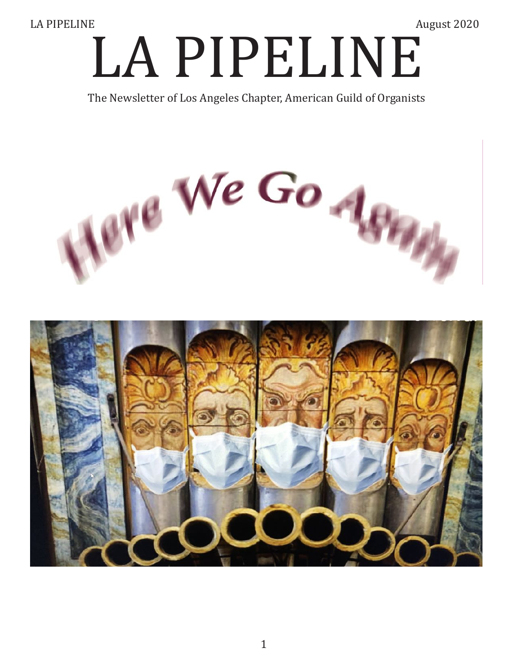LA PIPELINE August 2020 The Newsletter of Los Angeles Chapter, American Guild of Organists

The Newsletter of Los Angeles Chapter, American Guild of Organists



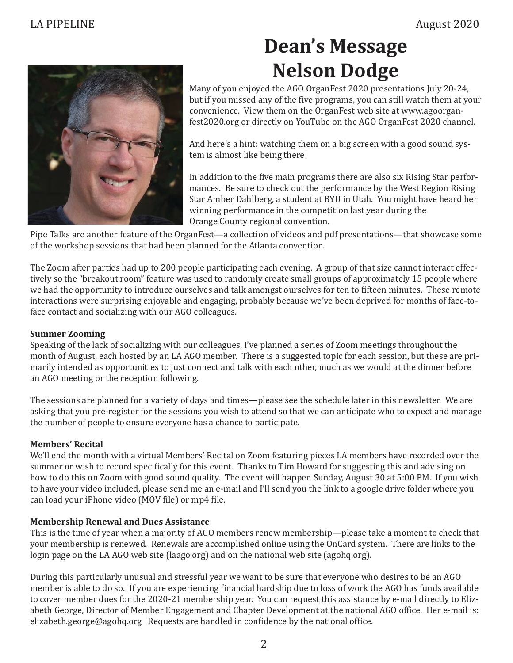

## **Dean's Message Nelson Dodge**

Many of you enjoyed the AGO OrganFest 2020 presentations July 20-24, but if you missed any of the five programs, you can still watch them at your convenience. View them on the OrganFest web site at www.agoorganfest2020.org or directly on YouTube on the AGO OrganFest 2020 channel.

And here's a hint: watching them on a big screen with a good sound system is almost like being there!

In addition to the five main programs there are also six Rising Star performances. Be sure to check out the performance by the West Region Rising Star Amber Dahlberg, a student at BYU in Utah. You might have heard her winning performance in the competition last year during the Orange County regional convention.

Pipe Talks are another feature of the OrganFest—a collection of videos and pdf presentations—that showcase some of the workshop sessions that had been planned for the Atlanta convention.

The Zoom after parties had up to 200 people participating each evening. A group of that size cannot interact effectively so the "breakout room" feature was used to randomly create small groups of approximately 15 people where we had the opportunity to introduce ourselves and talk amongst ourselves for ten to fifteen minutes. These remote interactions were surprising enjoyable and engaging, probably because we've been deprived for months of face-toface contact and socializing with our AGO colleagues.

#### **Summer Zooming**

Speaking of the lack of socializing with our colleagues, I've planned a series of Zoom meetings throughout the month of August, each hosted by an LA AGO member. There is a suggested topic for each session, but these are primarily intended as opportunities to just connect and talk with each other, much as we would at the dinner before an AGO meeting or the reception following.

The sessions are planned for a variety of days and times—please see the schedule later in this newsletter. We are asking that you pre-register for the sessions you wish to attend so that we can anticipate who to expect and manage the number of people to ensure everyone has a chance to participate.

#### **Members' Recital**

We'll end the month with a virtual Members' Recital on Zoom featuring pieces LA members have recorded over the summer or wish to record specifically for this event. Thanks to Tim Howard for suggesting this and advising on how to do this on Zoom with good sound quality. The event will happen Sunday, August 30 at 5:00 PM. If you wish to have your video included, please send me an e-mail and I'll send you the link to a google drive folder where you can load your iPhone video (MOV file) or mp4 file.

#### **Membership Renewal and Dues Assistance**

This is the time of year when a majority of AGO members renew membership—please take a moment to check that your membership is renewed. Renewals are accomplished online using the OnCard system. There are links to the login page on the LA AGO web site (laago.org) and on the national web site (agohq.org).

During this particularly unusual and stressful year we want to be sure that everyone who desires to be an AGO member is able to do so. If you are experiencing financial hardship due to loss of work the AGO has funds available to cover member dues for the 2020-21 membership year. You can request this assistance by e-mail directly to Elizabeth George, Director of Member Engagement and Chapter Development at the national AGO office. Her e-mail is: elizabeth.george@agohq.org Requests are handled in confidence by the national office.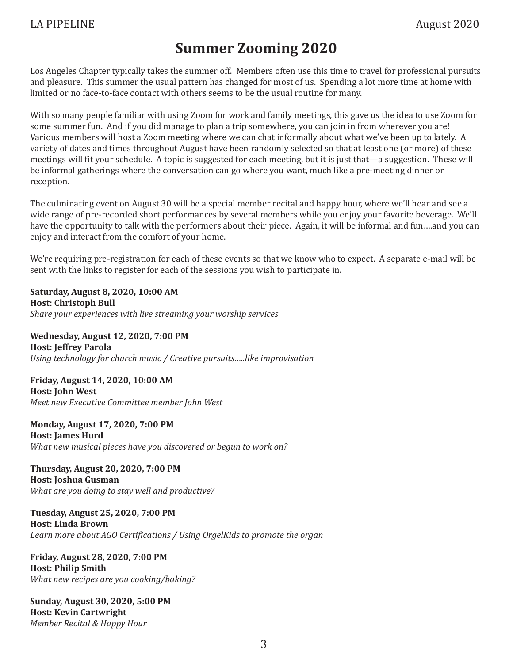## **Summer Zooming 2020**

Los Angeles Chapter typically takes the summer off. Members often use this time to travel for professional pursuits and pleasure. This summer the usual pattern has changed for most of us. Spending a lot more time at home with limited or no face-to-face contact with others seems to be the usual routine for many.

With so many people familiar with using Zoom for work and family meetings, this gave us the idea to use Zoom for some summer fun. And if you did manage to plan a trip somewhere, you can join in from wherever you are! Various members will host a Zoom meeting where we can chat informally about what we've been up to lately. A variety of dates and times throughout August have been randomly selected so that at least one (or more) of these meetings will fit your schedule. A topic is suggested for each meeting, but it is just that—a suggestion. These will be informal gatherings where the conversation can go where you want, much like a pre-meeting dinner or reception.

The culminating event on August 30 will be a special member recital and happy hour, where we'll hear and see a wide range of pre-recorded short performances by several members while you enjoy your favorite beverage. We'll have the opportunity to talk with the performers about their piece. Again, it will be informal and fun….and you can enjoy and interact from the comfort of your home.

We're requiring pre-registration for each of these events so that we know who to expect. A separate e-mail will be sent with the links to register for each of the sessions you wish to participate in.

**Saturday, August 8, 2020, 10:00 AM Host: Christoph Bull** *Share your experiences with live streaming your worship services*

**Wednesday, August 12, 2020, 7:00 PM Host: Jeffrey Parola** *Using technology for church music / Creative pursuits…..like improvisation*

**Friday, August 14, 2020, 10:00 AM Host: John West** *Meet new Executive Committee member John West*

**Monday, August 17, 2020, 7:00 PM Host: James Hurd** *What new musical pieces have you discovered or begun to work on?*

**Thursday, August 20, 2020, 7:00 PM Host: Joshua Gusman** *What are you doing to stay well and productive?*

**Tuesday, August 25, 2020, 7:00 PM Host: Linda Brown** *Learn more about AGO Certifications / Using OrgelKids to promote the organ*

**Friday, August 28, 2020, 7:00 PM Host: Philip Smith** *What new recipes are you cooking/baking?*

**Sunday, August 30, 2020, 5:00 PM Host: Kevin Cartwright** *Member Recital & Happy Hour*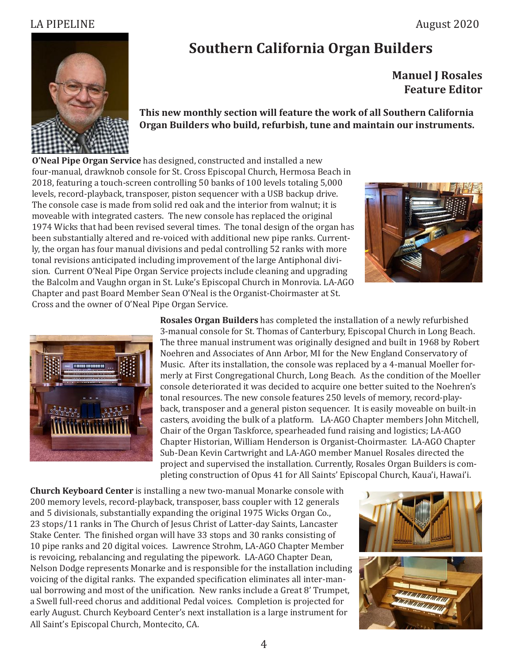

## **Southern California Organ Builders**

 **Manuel J Rosales Feature Editor**

**This new monthly section will feature the work of all Southern California Organ Builders who build, refurbish, tune and maintain our instruments.**

**O'Neal Pipe Organ Service** has designed, constructed and installed a new four-manual, drawknob console for St. Cross Episcopal Church, Hermosa Beach in 2018, featuring a touch-screen controlling 50 banks of 100 levels totaling 5,000 levels, record-playback, transposer, piston sequencer with a USB backup drive. The console case is made from solid red oak and the interior from walnut; it is moveable with integrated casters. The new console has replaced the original 1974 Wicks that had been revised several times. The tonal design of the organ has been substantially altered and re-voiced with additional new pipe ranks. Currently, the organ has four manual divisions and pedal controlling 52 ranks with more tonal revisions anticipated including improvement of the large Antiphonal division. Current O'Neal Pipe Organ Service projects include cleaning and upgrading the Balcolm and Vaughn organ in St. Luke's Episcopal Church in Monrovia. LA-AGO Chapter and past Board Member Sean O'Neal is the Organist-Choirmaster at St. Cross and the owner of O'Neal Pipe Organ Service.





**Rosales Organ Builders** has completed the installation of a newly refurbished 3-manual console for St. Thomas of Canterbury, Episcopal Church in Long Beach. The three manual instrument was originally designed and built in 1968 by Robert Noehren and Associates of Ann Arbor, MI for the New England Conservatory of Music. After its installation, the console was replaced by a 4-manual Moeller formerly at First Congregational Church, Long Beach. As the condition of the Moeller console deteriorated it was decided to acquire one better suited to the Noehren's tonal resources. The new console features 250 levels of memory, record-playback, transposer and a general piston sequencer. It is easily moveable on built-in casters, avoiding the bulk of a platform. LA-AGO Chapter members John Mitchell, Chair of the Organ Taskforce, spearheaded fund raising and logistics; LA-AGO Chapter Historian, William Henderson is Organist-Choirmaster. LA-AGO Chapter Sub-Dean Kevin Cartwright and LA-AGO member Manuel Rosales directed the project and supervised the installation. Currently, Rosales Organ Builders is completing construction of Opus 41 for All Saints' Episcopal Church, Kaua'i, Hawai'i.

**Church Keyboard Center** is installing a new two-manual Monarke console with 200 memory levels, record-playback, transposer, bass coupler with 12 generals and 5 divisionals, substantially expanding the original 1975 Wicks Organ Co., 23 stops/11 ranks in The Church of Jesus Christ of Latter-day Saints, Lancaster Stake Center. The finished organ will have 33 stops and 30 ranks consisting of 10 pipe ranks and 20 digital voices. Lawrence Strohm, LA-AGO Chapter Member is revoicing, rebalancing and regulating the pipework. LA-AGO Chapter Dean, Nelson Dodge represents Monarke and is responsible for the installation including voicing of the digital ranks. The expanded specification eliminates all inter-manual borrowing and most of the unification. New ranks include a Great 8' Trumpet, a Swell full-reed chorus and additional Pedal voices. Completion is projected for early August. Church Keyboard Center's next installation is a large instrument for All Saint's Episcopal Church, Montecito, CA.

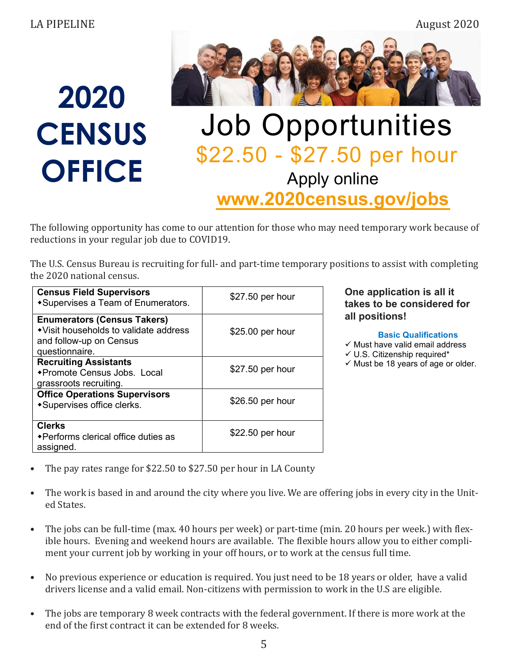

# 2020 **CENSUS OFFICE**

## Job Opportunities \$22.50 - \$27.50 per hour Apply online www.2020census.gov/jobs

The following opportunity has come to our attention for those who may need temporary work because of reductions in your regular job due to COVID19.

The U.S. Census Bureau is recruiting for full- and part-time temporary positions to assist with completing the 2020 national census.

| <b>Census Field Supervisors</b><br>*Supervises a Team of Enumerators.                                                     | \$27.50 per hour |
|---------------------------------------------------------------------------------------------------------------------------|------------------|
| <b>Enumerators (Census Takers)</b><br>• Visit households to validate address<br>and follow-up on Census<br>questionnaire. | \$25.00 per hour |
| <b>Recruiting Assistants</b><br>◆Promote Census Jobs. Local<br>grassroots recruiting.                                     | \$27.50 per hour |
| <b>Office Operations Supervisors</b><br>*Supervises office clerks.                                                        | \$26.50 per hour |
| <b>Clerks</b><br>◆ Performs clerical office duties as<br>assigned.                                                        | \$22.50 per hour |

### One application is all it takes to be considered for all positions!

#### Basic Qualifications

 $\checkmark$  Must have valid email address

- $\checkmark$  U.S. Citizenship required\*
- $\checkmark$  Must be 18 years of age or older.

- The pay rates range for \$22.50 to \$27.50 per hour in LA County
- The work is based in and around the city where you live. We are offering jobs in every city in the United States.
- The jobs can be full-time (max. 40 hours per week) or part-time (min. 20 hours per week.) with flexible hours. Evening and weekend hours are available. The flexible hours allow you to either compliment your current job by working in your off hours, or to work at the census full time.
- No previous experience or education is required. You just need to be 18 years or older, have a valid drivers license and a valid email. Non-citizens with permission to work in the U.S are eligible.
- The jobs are temporary 8 week contracts with the federal government. If there is more work at the end of the first contract it can be extended for 8 weeks.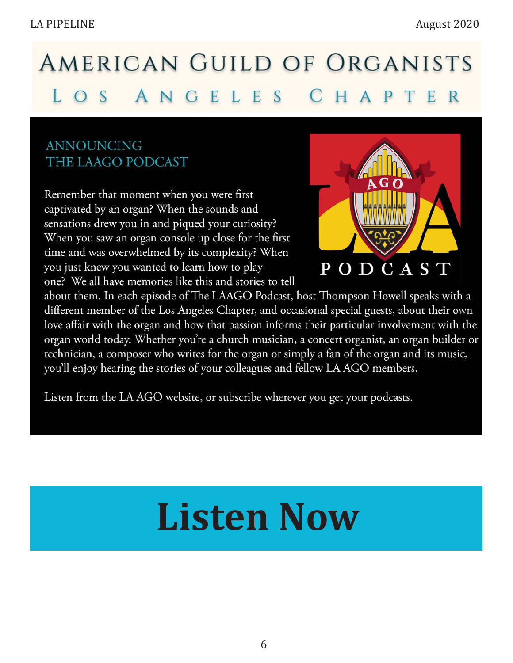#### AMERICAN GUILD OF ORGANISTS LOS ANGELES CH P E R  $\mathsf{A}$

## **ANNOUNCING** THE LAAGO PODCAST

Remember that moment when you were first captivated by an organ? When the sounds and sensations drew you in and piqued your curiosity? When you saw an organ console up close for the first time and was overwhelmed by its complexity? When you just knew you wanted to learn how to play one? We all have memories like this and stories to tell



about them. In each episode of The LAAGO Podcast, host Thompson Howell speaks with a different member of the Los Angeles Chapter, and occasional special guests, about their own love affair with the organ and how that passion informs their particular involvement with the organ world today. Whether you're a church musician, a concert organist, an organ builder or technician, a composer who writes for the organ or simply a fan of the organ and its music, you'll enjoy hearing the stories of your colleagues and fellow LA AGO members.

Listen from the LA AGO website, or subscribe wherever you get your podcasts.

# **[Listen Now](https://www.laago.org/podcasts)**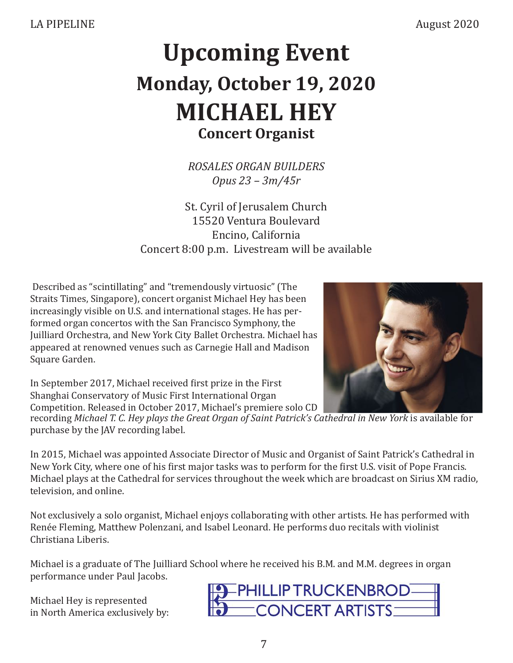## **Upcoming Event Monday, October 19, 2020 MICHAEL HEY Concert Organist**

*ROSALES ORGAN BUILDERS Opus 23 – 3m/45r*

St. Cyril of Jerusalem Church 15520 Ventura Boulevard Encino, California Concert 8:00 p.m. Livestream will be available

 Described as "scintillating" and "tremendously virtuosic" (The Straits Times, Singapore), concert organist Michael Hey has been increasingly visible on U.S. and international stages. He has performed organ concertos with the San Francisco Symphony, the Juilliard Orchestra, and New York City Ballet Orchestra. Michael has appeared at renowned venues such as Carnegie Hall and Madison Square Garden.



In September 2017, Michael received first prize in the First Shanghai Conservatory of Music First International Organ Competition. Released in October 2017, Michael's premiere solo CD

recording Michael T. C. Hey plays the Great Organ of Saint Patrick's Cathedral in New York is available for purchase by the JAV recording label.

In 2015, Michael was appointed Associate Director of Music and Organist of Saint Patrick's Cathedral in New York City, where one of his first major tasks was to perform for the first U.S. visit of Pope Francis. Michael plays at the Cathedral for services throughout the week which are broadcast on Sirius XM radio, television, and online.

Not exclusively a solo organist, Michael enjoys collaborating with other artists. He has performed with Renée Fleming, Matthew Polenzani, and Isabel Leonard. He performs duo recitals with violinist Christiana Liberis.

Michael is a graduate of The Juilliard School where he received his B.M. and M.M. degrees in organ performance under Paul Jacobs.

Michael Hey is represented in North America exclusively by:

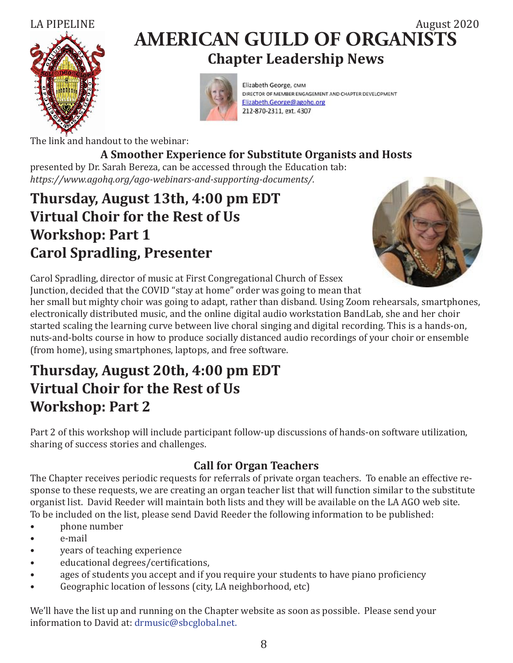



## LA PIPELINE  $\overline{a} = \overline{a} = \overline{a} = \overline{a} = \overline{a} = \overline{a} = \overline{a} = \overline{a} = \overline{a} = \overline{a} = \overline{a} = \overline{a} = \overline{a} = \overline{a} = \overline{a} = \overline{a} = \overline{a} = \overline{a} = \overline{a} = \overline{a} = \overline{a} = \overline{a} = \overline{a} = \overline{a} = \overline{a} = \overline{a} = \overline{a} = \overline{a} = \overline{a} = \overline{a$ **AMERICAN GUILD OF ORGANISTS Chapter Leadership News**



Elizabeth George, CMM DIRECTOR OF MEMBER ENGAGEMENT AND CHAPTER DEVELOPMENT Elizabeth.George@agohq.org 212-870-2311, ext. 4307

The link and handout to the webinar:

## **A Smoother Experience for Substitute Organists and Hosts**

presented by Dr. Sarah Bereza, can be accessed through the Education tab: *https://www.agohq.org/ago-webinars-and-supporting-documents/.*

## **Thursday, August 13th, 4:00 pm EDT Virtual Choir for the Rest of Us Workshop: Part 1 Carol Spradling, Presenter**



Carol Spradling, director of music at First Congregational Church of Essex

Junction, decided that the COVID "stay at home" order was going to mean that her small but mighty choir was going to adapt, rather than disband. Using Zoom rehearsals, smartphones, electronically distributed music, and the online digital audio workstation BandLab, she and her choir started scaling the learning curve between live choral singing and digital recording. This is a hands-on, nuts-and-bolts course in how to produce socially distanced audio recordings of your choir or ensemble

(from home), using smartphones, laptops, and free software.

## **Thursday, August 20th, 4:00 pm EDT Virtual Choir for the Rest of Us Workshop: Part 2**

Part 2 of this workshop will include participant follow-up discussions of hands-on software utilization, sharing of success stories and challenges.

### **Call for Organ Teachers**

The Chapter receives periodic requests for referrals of private organ teachers. To enable an effective response to these requests, we are creating an organ teacher list that will function similar to the substitute organist list. David Reeder will maintain both lists and they will be available on the LA AGO web site. To be included on the list, please send David Reeder the following information to be published:

- **blone number**
- e-mail
- years of teaching experience
- educational degrees/certifications,
- ages of students you accept and if you require your students to have piano proficiency
- Geographic location of lessons (city, LA neighborhood, etc)

We'll have the list up and running on the Chapter website as soon as possible. Please send your information to David at: drmusic@sbcglobal.net.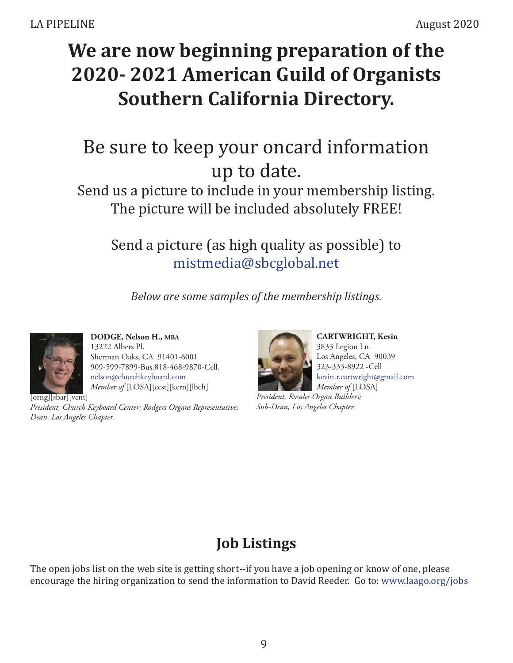## **We are now beginning preparation of the 2020- 2021 American Guild of Organists Southern California Directory.**

## Be sure to keep your oncard information up to date.

Send us a picture to include in your membership listing. The picture will be included absolutely FREE!

Send a picture (as high quality as possible) to mistmedia@sbcglobal.net

*Below are some samples of the membership listings.*



 **DODGE, Nelson H., MBA**  13222 Albers Pl. Sherman Oaks, CA 91401-6001 909-599-7899-Bus.818-468-9870-Cell. nelson@churchkeyboard.com  *Member of* [LOSA][ccst][kern][lbch]

[orng][sbar][vent]

*President, Church Keyboard Center; Rodgers Organs Representative; Dean, Los Angeles Chapter.*



 **CARTWRIGHT, Kevin** 3833 Legion Ln. Los Angeles, CA 90039 323-333-8922 -Cell kevin.r.cartwright@gmail.com  *Member of* [LOSA]

*President, Rosales Organ Builders; Sub-Dean, Los Angeles Chapter.*

## **Job Listings**

The open jobs list on the web site is getting short--if you have a job opening or know of one, please encourage the hiring organization to send the information to David Reeder. Go to: www.laago.org/jobs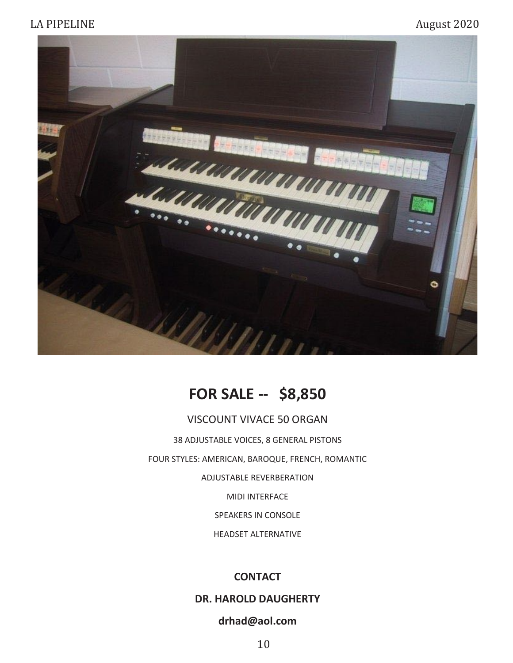

## **FOR SALE -- \$8,850**

#### VISCOUNT VIVACE 50 ORGAN

38 ADJUSTABLE VOICES, 8 GENERAL PISTONS FOUR STYLES: AMERICAN, BAROQUE, FRENCH, ROMANTIC ADJUSTABLE REVERBERATION MIDI INTERFACE SPEAKERS IN CONSOLE

HEADSET ALTERNATIVE

#### **CONTACT**

#### **DR. HAROLD DAUGHERTY**

### **drhad@aol.com**